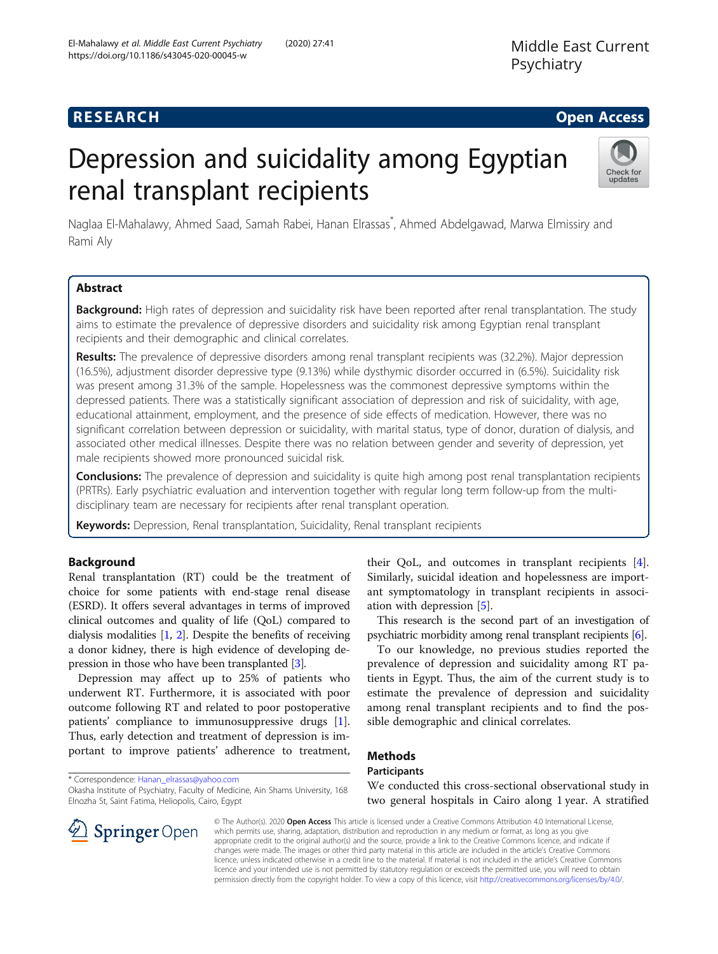# **RESEARCH CHE Open Access**

# Depression and suicidality among Egyptian renal transplant recipients



Naglaa El-Mahalawy, Ahmed Saad, Samah Rabei, Hanan Elrassas<sup>\*</sup>, Ahmed Abdelgawad, Marwa Elmissiry and Rami Aly

# Abstract

Background: High rates of depression and suicidality risk have been reported after renal transplantation. The study aims to estimate the prevalence of depressive disorders and suicidality risk among Egyptian renal transplant recipients and their demographic and clinical correlates.

Results: The prevalence of depressive disorders among renal transplant recipients was (32.2%). Major depression (16.5%), adjustment disorder depressive type (9.13%) while dysthymic disorder occurred in (6.5%). Suicidality risk was present among 31.3% of the sample. Hopelessness was the commonest depressive symptoms within the depressed patients. There was a statistically significant association of depression and risk of suicidality, with age, educational attainment, employment, and the presence of side effects of medication. However, there was no significant correlation between depression or suicidality, with marital status, type of donor, duration of dialysis, and associated other medical illnesses. Despite there was no relation between gender and severity of depression, yet male recipients showed more pronounced suicidal risk.

**Conclusions:** The prevalence of depression and suicidality is quite high among post renal transplantation recipients (PRTRs). Early psychiatric evaluation and intervention together with regular long term follow-up from the multidisciplinary team are necessary for recipients after renal transplant operation.

Keywords: Depression, Renal transplantation, Suicidality, Renal transplant recipients

# Background

Renal transplantation (RT) could be the treatment of choice for some patients with end-stage renal disease (ESRD). It offers several advantages in terms of improved clinical outcomes and quality of life (QoL) compared to dialysis modalities [\[1,](#page-7-0) [2](#page-7-0)]. Despite the benefits of receiving a donor kidney, there is high evidence of developing depression in those who have been transplanted [[3](#page-7-0)].

Depression may affect up to 25% of patients who underwent RT. Furthermore, it is associated with poor outcome following RT and related to poor postoperative patients' compliance to immunosuppressive drugs [\[1](#page-7-0)]. Thus, early detection and treatment of depression is important to improve patients' adherence to treatment,

\* Correspondence: [Hanan\\_elrassas@yahoo.com](mailto:Hanan_elrassas@yahoo.com)

**Springer** Open

Okasha Institute of Psychiatry, Faculty of Medicine, Ain Shams University, 168 Elnozha St, Saint Fatima, Heliopolis, Cairo, Egypt

their QoL, and outcomes in transplant recipients [\[4](#page-7-0)]. Similarly, suicidal ideation and hopelessness are important symptomatology in transplant recipients in association with depression [[5\]](#page-7-0).

This research is the second part of an investigation of psychiatric morbidity among renal transplant recipients [\[6\]](#page-7-0).

To our knowledge, no previous studies reported the prevalence of depression and suicidality among RT patients in Egypt. Thus, the aim of the current study is to estimate the prevalence of depression and suicidality among renal transplant recipients and to find the possible demographic and clinical correlates.

# Methods

#### **Participants**

We conducted this cross-sectional observational study in two general hospitals in Cairo along 1 year. A stratified

© The Author(s). 2020 Open Access This article is licensed under a Creative Commons Attribution 4.0 International License, which permits use, sharing, adaptation, distribution and reproduction in any medium or format, as long as you give appropriate credit to the original author(s) and the source, provide a link to the Creative Commons licence, and indicate if changes were made. The images or other third party material in this article are included in the article's Creative Commons licence, unless indicated otherwise in a credit line to the material. If material is not included in the article's Creative Commons licence and your intended use is not permitted by statutory regulation or exceeds the permitted use, you will need to obtain permission directly from the copyright holder. To view a copy of this licence, visit <http://creativecommons.org/licenses/by/4.0/>.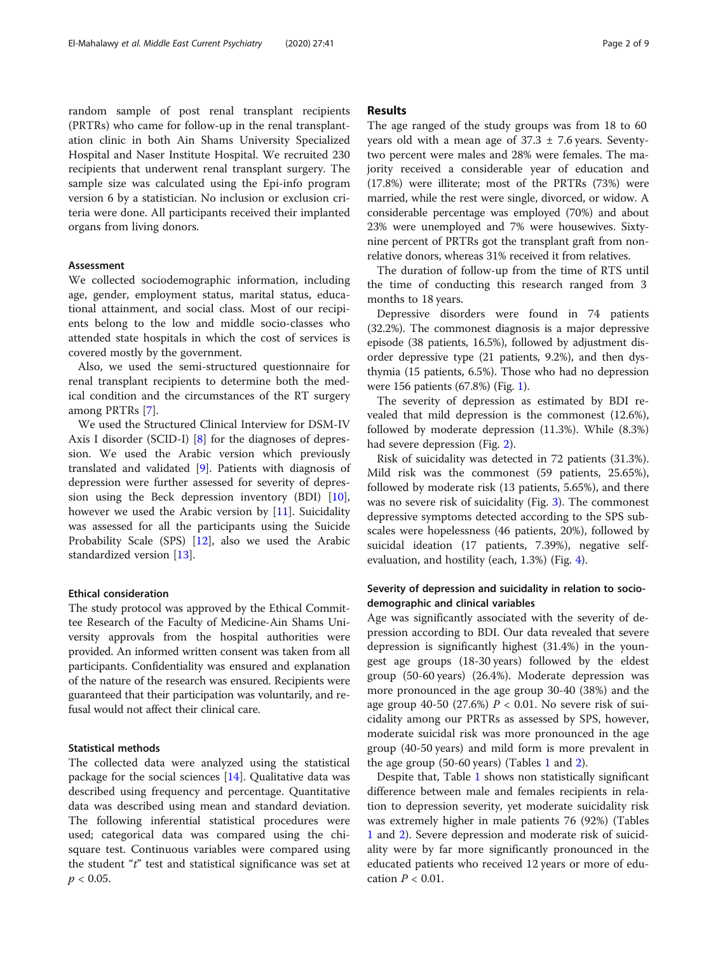random sample of post renal transplant recipients (PRTRs) who came for follow-up in the renal transplantation clinic in both Ain Shams University Specialized Hospital and Naser Institute Hospital. We recruited 230 recipients that underwent renal transplant surgery. The sample size was calculated using the Epi-info program version 6 by a statistician. No inclusion or exclusion criteria were done. All participants received their implanted organs from living donors.

#### **Assessment**

We collected sociodemographic information, including age, gender, employment status, marital status, educational attainment, and social class. Most of our recipients belong to the low and middle socio-classes who attended state hospitals in which the cost of services is covered mostly by the government.

Also, we used the semi-structured questionnaire for renal transplant recipients to determine both the medical condition and the circumstances of the RT surgery among PRTRs [\[7](#page-7-0)].

We used the Structured Clinical Interview for DSM-IV Axis I disorder (SCID-I) [[8](#page-7-0)] for the diagnoses of depression. We used the Arabic version which previously translated and validated [[9\]](#page-7-0). Patients with diagnosis of depression were further assessed for severity of depression using the Beck depression inventory (BDI) [\[10](#page-7-0)], however we used the Arabic version by [\[11](#page-7-0)]. Suicidality was assessed for all the participants using the Suicide Probability Scale (SPS) [[12\]](#page-7-0), also we used the Arabic standardized version [[13\]](#page-7-0).

#### Ethical consideration

The study protocol was approved by the Ethical Committee Research of the Faculty of Medicine-Ain Shams University approvals from the hospital authorities were provided. An informed written consent was taken from all participants. Confidentiality was ensured and explanation of the nature of the research was ensured. Recipients were guaranteed that their participation was voluntarily, and refusal would not affect their clinical care.

#### Statistical methods

The collected data were analyzed using the statistical package for the social sciences [[14\]](#page-7-0). Qualitative data was described using frequency and percentage. Quantitative data was described using mean and standard deviation. The following inferential statistical procedures were used; categorical data was compared using the chisquare test. Continuous variables were compared using the student " $t$ " test and statistical significance was set at  $p < 0.05$ .

#### Results

The age ranged of the study groups was from 18 to 60 years old with a mean age of  $37.3 \pm 7.6$  years. Seventytwo percent were males and 28% were females. The majority received a considerable year of education and (17.8%) were illiterate; most of the PRTRs (73%) were married, while the rest were single, divorced, or widow. A considerable percentage was employed (70%) and about 23% were unemployed and 7% were housewives. Sixtynine percent of PRTRs got the transplant graft from nonrelative donors, whereas 31% received it from relatives.

The duration of follow-up from the time of RTS until the time of conducting this research ranged from 3 months to 18 years.

Depressive disorders were found in 74 patients (32.2%). The commonest diagnosis is a major depressive episode (38 patients, 16.5%), followed by adjustment disorder depressive type (21 patients, 9.2%), and then dysthymia (15 patients, 6.5%). Those who had no depression were 156 patients (67.8%) (Fig. [1](#page-2-0)).

The severity of depression as estimated by BDI revealed that mild depression is the commonest (12.6%), followed by moderate depression (11.3%). While (8.3%) had severe depression (Fig. [2\)](#page-2-0).

Risk of suicidality was detected in 72 patients (31.3%). Mild risk was the commonest (59 patients, 25.65%), followed by moderate risk (13 patients, 5.65%), and there was no severe risk of suicidality (Fig. [3](#page-3-0)). The commonest depressive symptoms detected according to the SPS subscales were hopelessness (46 patients, 20%), followed by suicidal ideation (17 patients, 7.39%), negative selfevaluation, and hostility (each, 1.3%) (Fig. [4](#page-3-0)).

## Severity of depression and suicidality in relation to sociodemographic and clinical variables

Age was significantly associated with the severity of depression according to BDI. Our data revealed that severe depression is significantly highest (31.4%) in the youngest age groups (18-30 years) followed by the eldest group (50-60 years) (26.4%). Moderate depression was more pronounced in the age group 30-40 (38%) and the age group 40-50 (27.6%)  $P < 0.01$ . No severe risk of suicidality among our PRTRs as assessed by SPS, however, moderate suicidal risk was more pronounced in the age group (40-50 years) and mild form is more prevalent in the age group  $(50-60 \text{ years})$  (Tables [1](#page-4-0) and [2\)](#page-5-0).

Despite that, Table [1](#page-4-0) shows non statistically significant difference between male and females recipients in relation to depression severity, yet moderate suicidality risk was extremely higher in male patients 76 (92%) (Tables [1](#page-4-0) and [2](#page-5-0)). Severe depression and moderate risk of suicidality were by far more significantly pronounced in the educated patients who received 12 years or more of education  $P < 0.01$ .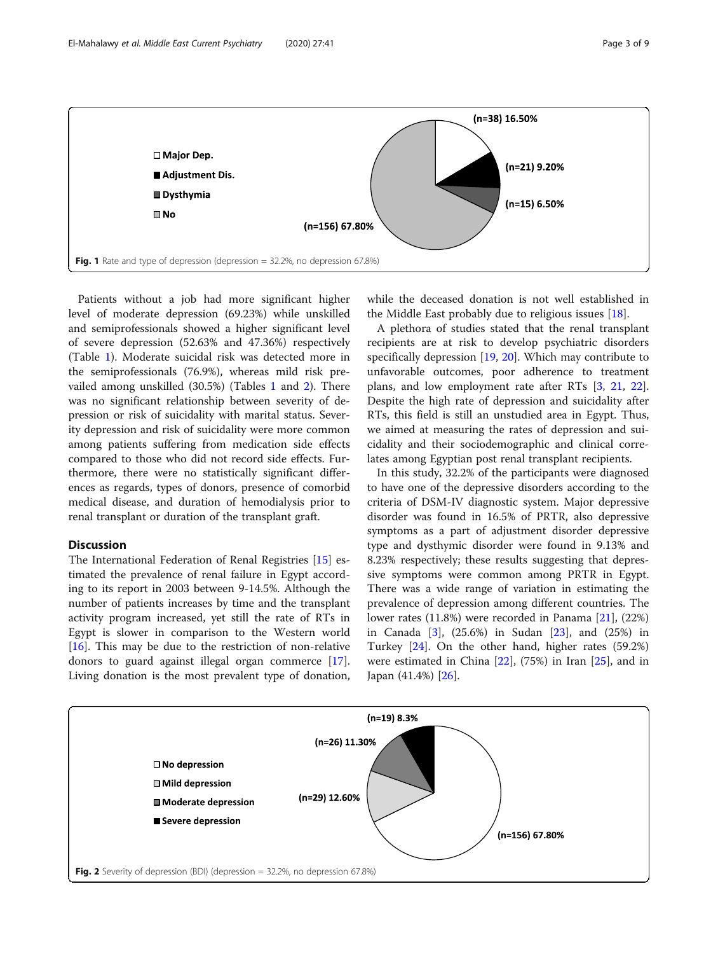<span id="page-2-0"></span>

Patients without a job had more significant higher level of moderate depression (69.23%) while unskilled and semiprofessionals showed a higher significant level of severe depression (52.63% and 47.36%) respectively (Table [1\)](#page-4-0). Moderate suicidal risk was detected more in the semiprofessionals (76.9%), whereas mild risk prevailed among unskilled (30.5%) (Tables [1](#page-4-0) and [2\)](#page-5-0). There was no significant relationship between severity of depression or risk of suicidality with marital status. Severity depression and risk of suicidality were more common among patients suffering from medication side effects compared to those who did not record side effects. Furthermore, there were no statistically significant differences as regards, types of donors, presence of comorbid medical disease, and duration of hemodialysis prior to renal transplant or duration of the transplant graft.

# Discussion

The International Federation of Renal Registries [\[15](#page-7-0)] estimated the prevalence of renal failure in Egypt according to its report in 2003 between 9-14.5%. Although the number of patients increases by time and the transplant activity program increased, yet still the rate of RTs in Egypt is slower in comparison to the Western world [ $16$ ]. This may be due to the restriction of non-relative donors to guard against illegal organ commerce [\[17](#page-7-0)]. Living donation is the most prevalent type of donation, while the deceased donation is not well established in the Middle East probably due to religious issues [\[18](#page-7-0)].

A plethora of studies stated that the renal transplant recipients are at risk to develop psychiatric disorders specifically depression [\[19](#page-7-0), [20](#page-7-0)]. Which may contribute to unfavorable outcomes, poor adherence to treatment plans, and low employment rate after RTs [\[3](#page-7-0), [21,](#page-7-0) [22](#page-7-0)]. Despite the high rate of depression and suicidality after RTs, this field is still an unstudied area in Egypt. Thus, we aimed at measuring the rates of depression and suicidality and their sociodemographic and clinical correlates among Egyptian post renal transplant recipients.

In this study, 32.2% of the participants were diagnosed to have one of the depressive disorders according to the criteria of DSM-IV diagnostic system. Major depressive disorder was found in 16.5% of PRTR, also depressive symptoms as a part of adjustment disorder depressive type and dysthymic disorder were found in 9.13% and 8.23% respectively; these results suggesting that depressive symptoms were common among PRTR in Egypt. There was a wide range of variation in estimating the prevalence of depression among different countries. The lower rates (11.8%) were recorded in Panama [\[21](#page-7-0)], (22%) in Canada [\[3](#page-7-0)], (25.6%) in Sudan [\[23](#page-7-0)], and (25%) in Turkey [\[24](#page-8-0)]. On the other hand, higher rates (59.2%) were estimated in China  $[22]$ , (75%) in Iran  $[25]$  $[25]$ , and in Japan (41.4%) [\[26](#page-8-0)].

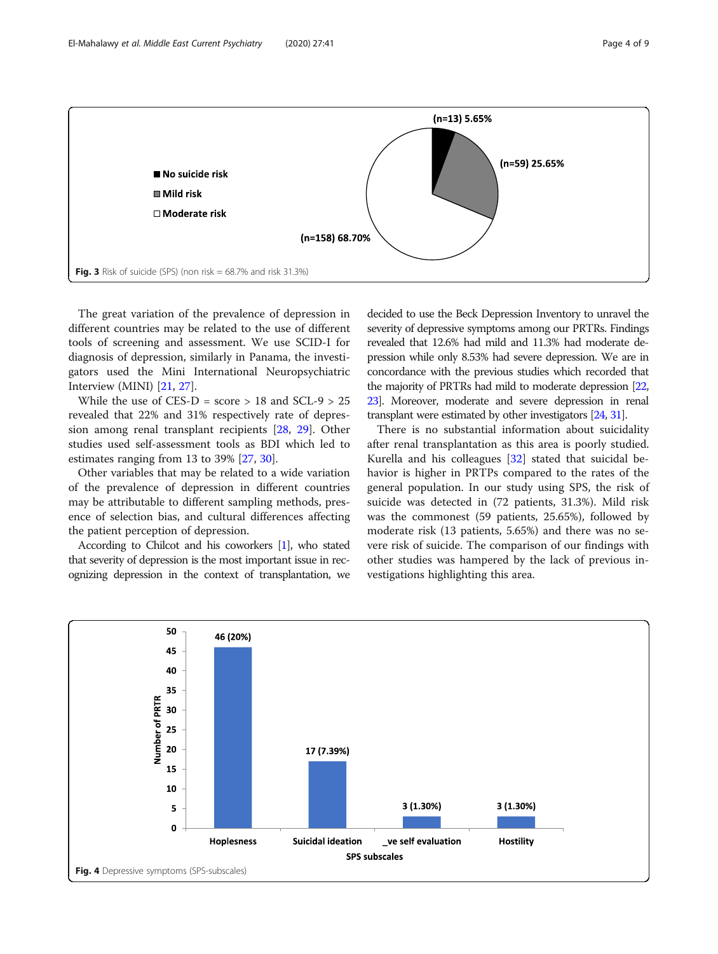<span id="page-3-0"></span>

The great variation of the prevalence of depression in different countries may be related to the use of different tools of screening and assessment. We use SCID-I for diagnosis of depression, similarly in Panama, the investigators used the Mini International Neuropsychiatric Interview (MINI) [\[21](#page-7-0), [27](#page-8-0)].

While the use of CES-D = score  $> 18$  and SCL-9  $> 25$ revealed that 22% and 31% respectively rate of depression among renal transplant recipients [[28](#page-8-0), [29](#page-8-0)]. Other studies used self-assessment tools as BDI which led to estimates ranging from 13 to 39% [[27,](#page-8-0) [30\]](#page-8-0).

Other variables that may be related to a wide variation of the prevalence of depression in different countries may be attributable to different sampling methods, presence of selection bias, and cultural differences affecting the patient perception of depression.

According to Chilcot and his coworkers [\[1\]](#page-7-0), who stated that severity of depression is the most important issue in recognizing depression in the context of transplantation, we

decided to use the Beck Depression Inventory to unravel the severity of depressive symptoms among our PRTRs. Findings revealed that 12.6% had mild and 11.3% had moderate depression while only 8.53% had severe depression. We are in concordance with the previous studies which recorded that the majority of PRTRs had mild to moderate depression [\[22](#page-7-0), [23\]](#page-7-0). Moreover, moderate and severe depression in renal transplant were estimated by other investigators [\[24](#page-8-0), [31\]](#page-8-0).

There is no substantial information about suicidality after renal transplantation as this area is poorly studied. Kurella and his colleagues [[32](#page-8-0)] stated that suicidal behavior is higher in PRTPs compared to the rates of the general population. In our study using SPS, the risk of suicide was detected in (72 patients, 31.3%). Mild risk was the commonest (59 patients, 25.65%), followed by moderate risk (13 patients, 5.65%) and there was no severe risk of suicide. The comparison of our findings with other studies was hampered by the lack of previous investigations highlighting this area.

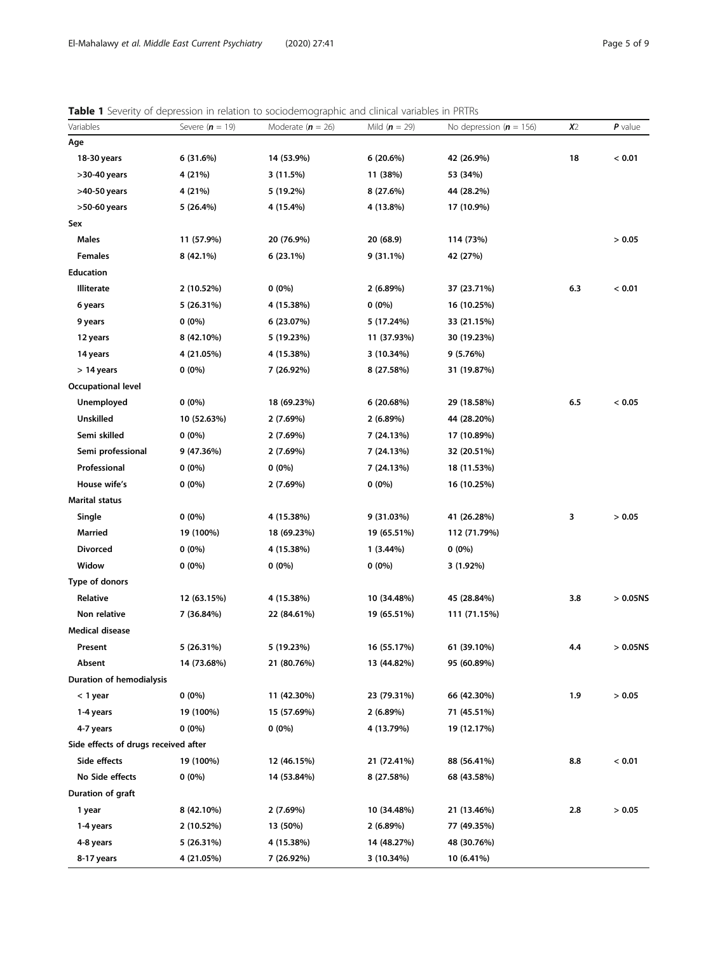# <span id="page-4-0"></span>Table 1 Severity of depression in relation to sociodemographic and clinical variables in PRTRs

| Variables                            | Severe $(n = 19)$ | Moderate $(n = 26)$ | Mild ( $n = 29$ ) | No depression ( $n = 156$ ) | x <sub>2</sub> | $P$ value   |
|--------------------------------------|-------------------|---------------------|-------------------|-----------------------------|----------------|-------------|
| Age                                  |                   |                     |                   |                             |                |             |
| 18-30 years                          | 6(31.6%)          | 14 (53.9%)          | 6(20.6%)          | 42 (26.9%)                  | 18             | < 0.01      |
| >30-40 years                         | 4 (21%)           | 3 (11.5%)           | 11 (38%)          | 53 (34%)                    |                |             |
| >40-50 years                         | 4 (21%)           | 5 (19.2%)           | 8 (27.6%)         | 44 (28.2%)                  |                |             |
| >50-60 years                         | 5 (26.4%)         | 4 (15.4%)           | 4 (13.8%)         | 17 (10.9%)                  |                |             |
| Sex                                  |                   |                     |                   |                             |                |             |
| <b>Males</b>                         | 11 (57.9%)        | 20 (76.9%)          | 20 (68.9)         | 114 (73%)                   |                | > 0.05      |
| <b>Females</b>                       | 8 (42.1%)         | 6(23.1%)            | $9(31.1\%)$       | 42 (27%)                    |                |             |
| <b>Education</b>                     |                   |                     |                   |                             |                |             |
| <b>Illiterate</b>                    | 2 (10.52%)        | $0(0\%)$            | 2(6.89%)          | 37 (23.71%)                 | 6.3            | < 0.01      |
| 6 years                              | 5 (26.31%)        | 4 (15.38%)          | $0(0\%)$          | 16 (10.25%)                 |                |             |
| 9 years                              | $0(0\%)$          | 6 (23.07%)          | 5 (17.24%)        | 33 (21.15%)                 |                |             |
| 12 years                             | 8 (42.10%)        | 5 (19.23%)          | 11 (37.93%)       | 30 (19.23%)                 |                |             |
| 14 years                             | 4 (21.05%)        | 4 (15.38%)          | 3 (10.34%)        | 9 (5.76%)                   |                |             |
| $> 14$ years                         | $0(0\%)$          | 7 (26.92%)          | 8 (27.58%)        | 31 (19.87%)                 |                |             |
| <b>Occupational level</b>            |                   |                     |                   |                             |                |             |
| <b>Unemployed</b>                    | $0(0\%)$          | 18 (69.23%)         | 6(20.68%)         | 29 (18.58%)                 | 6.5            | < 0.05      |
| Unskilled                            | 10 (52.63%)       | 2 (7.69%)           | 2(6.89%)          | 44 (28.20%)                 |                |             |
| Semi skilled                         | $0(0\%)$          | 2 (7.69%)           | 7 (24.13%)        | 17 (10.89%)                 |                |             |
| Semi professional                    | 9 (47.36%)        | 2 (7.69%)           | 7 (24.13%)        | 32 (20.51%)                 |                |             |
| Professional                         | $0(0\%)$          | $0(0\%)$            | 7 (24.13%)        | 18 (11.53%)                 |                |             |
| House wife's                         | $0(0\%)$          | 2 (7.69%)           | $0(0\%)$          | 16 (10.25%)                 |                |             |
| <b>Marital status</b>                |                   |                     |                   |                             |                |             |
| Single                               | $0(0\%)$          | 4 (15.38%)          | 9 (31.03%)        | 41 (26.28%)                 | 3              | > 0.05      |
| Married                              | 19 (100%)         | 18 (69.23%)         | 19 (65.51%)       | 112 (71.79%)                |                |             |
| <b>Divorced</b>                      | $0(0\%)$          | 4 (15.38%)          | 1(3.44%)          | $0(0\%)$                    |                |             |
| Widow                                | $0(0\%)$          | $0(0\%)$            | $0(0\%)$          | 3 (1.92%)                   |                |             |
| Type of donors                       |                   |                     |                   |                             |                |             |
| Relative                             | 12 (63.15%)       | 4 (15.38%)          | 10 (34.48%)       | 45 (28.84%)                 | 3.8            | $> 0.05$ NS |
| Non relative                         | 7 (36.84%)        | 22 (84.61%)         | 19 (65.51%)       | 111 (71.15%)                |                |             |
| <b>Medical disease</b>               |                   |                     |                   |                             |                |             |
| Present                              | $5(26.31\%)$      | 5 (19.23%)          | 16 (55.17%)       | 61 (39.10%)                 | 4.4            | > 0.05N     |
| Absent                               | 14 (73.68%)       | 21 (80.76%)         | 13 (44.82%)       | 95 (60.89%)                 |                |             |
| <b>Duration of hemodialysis</b>      |                   |                     |                   |                             |                |             |
| < 1 year                             | $0(0\%)$          | 11 (42.30%)         | 23 (79.31%)       | 66 (42.30%)                 | 1.9            | > 0.05      |
| 1-4 years                            | 19 (100%)         | 15 (57.69%)         | 2(6.89%)          | 71 (45.51%)                 |                |             |
| 4-7 years                            | $0(0\%)$          | $0(0\%)$            | 4 (13.79%)        | 19 (12.17%)                 |                |             |
| Side effects of drugs received after |                   |                     |                   |                             |                |             |
| Side effects                         | 19 (100%)         | 12 (46.15%)         | 21 (72.41%)       | 88 (56.41%)                 | 8.8            | < 0.01      |
| No Side effects                      | $0(0\%)$          | 14 (53.84%)         | 8 (27.58%)        | 68 (43.58%)                 |                |             |
| Duration of graft                    |                   |                     |                   |                             |                |             |
| 1 year                               | 8 (42.10%)        | 2 (7.69%)           | 10 (34.48%)       | 21 (13.46%)                 | 2.8            | > 0.05      |
| 1-4 years                            | 2 (10.52%)        | 13 (50%)            | 2(6.89%)          | 77 (49.35%)                 |                |             |
| 4-8 years                            | 5 (26.31%)        | 4 (15.38%)          | 14 (48.27%)       | 48 (30.76%)                 |                |             |
| 8-17 years                           | 4 (21.05%)        | 7 (26.92%)          | 3 (10.34%)        | 10 (6.41%)                  |                |             |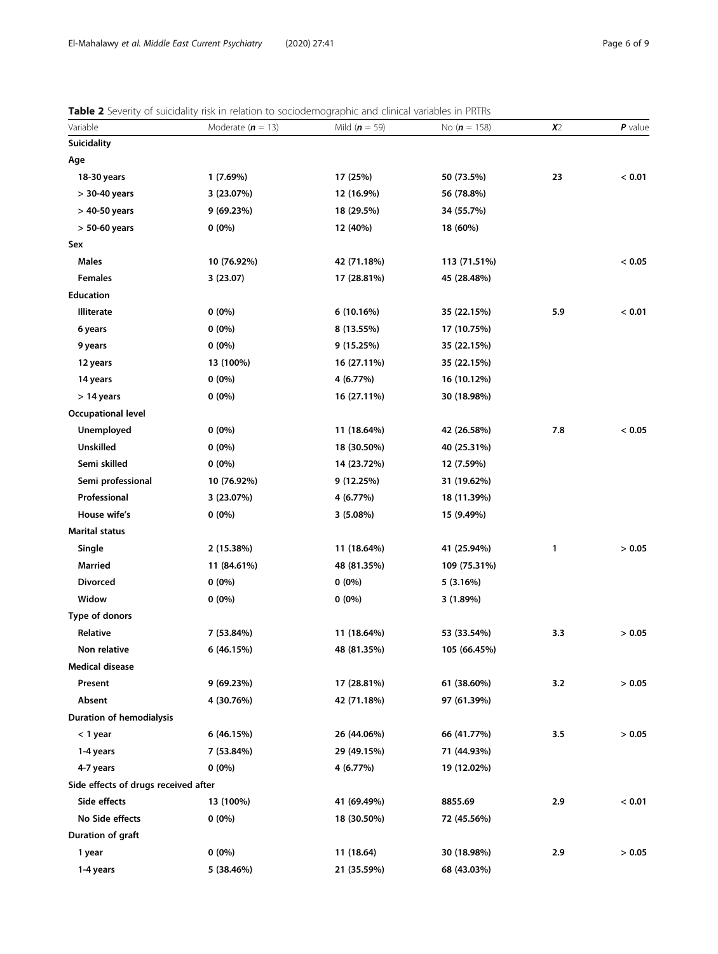<span id="page-5-0"></span>

| Variable                             | Moderate $(n = 13)$ | Mild $(n = 59)$ | No ( $n = 158$ ) | x <sub>2</sub> | $P$ value |
|--------------------------------------|---------------------|-----------------|------------------|----------------|-----------|
| <b>Suicidality</b>                   |                     |                 |                  |                |           |
| Age                                  |                     |                 |                  |                |           |
| 18-30 years                          | 1(7.69%)            | 17 (25%)        | 50 (73.5%)       | 23             | < 0.01    |
| $>$ 30-40 years                      | 3 (23.07%)          | 12 (16.9%)      | 56 (78.8%)       |                |           |
| $>$ 40-50 years                      | 9 (69.23%)          | 18 (29.5%)      | 34 (55.7%)       |                |           |
| $> 50-60$ years                      | $0(0\%)$            | 12 (40%)        | 18 (60%)         |                |           |
| Sex                                  |                     |                 |                  |                |           |
| <b>Males</b>                         | 10 (76.92%)         | 42 (71.18%)     | 113 (71.51%)     |                | < 0.05    |
| <b>Females</b>                       | 3(23.07)            | 17 (28.81%)     | 45 (28.48%)      |                |           |
| Education                            |                     |                 |                  |                |           |
| <b>Illiterate</b>                    | $0(0\%)$            | 6 (10.16%)      | 35 (22.15%)      | 5.9            | < 0.01    |
| 6 years                              | $0(0\%)$            | 8 (13.55%)      | 17 (10.75%)      |                |           |
| 9 years                              | $0(0\%)$            | 9 (15.25%)      | 35 (22.15%)      |                |           |
| 12 years                             | 13 (100%)           | 16 (27.11%)     | 35 (22.15%)      |                |           |
| 14 years                             | $0(0\%)$            | 4 (6.77%)       | 16 (10.12%)      |                |           |
| $> 14$ years                         | $0(0\%)$            | 16 (27.11%)     | 30 (18.98%)      |                |           |
| <b>Occupational level</b>            |                     |                 |                  |                |           |
| Unemployed                           | $0(0\%)$            | 11 (18.64%)     | 42 (26.58%)      | 7.8            | < 0.05    |
| <b>Unskilled</b>                     | $0(0\%)$            | 18 (30.50%)     | 40 (25.31%)      |                |           |
| Semi skilled                         | $0(0\%)$            | 14 (23.72%)     | 12 (7.59%)       |                |           |
| Semi professional                    | 10 (76.92%)         | 9 (12.25%)      | 31 (19.62%)      |                |           |
| Professional                         | 3 (23.07%)          | 4 (6.77%)       | 18 (11.39%)      |                |           |
| House wife's                         | $0(0\%)$            | 3 (5.08%)       | 15 (9.49%)       |                |           |
| <b>Marital status</b>                |                     |                 |                  |                |           |
| Single                               | 2 (15.38%)          | 11 (18.64%)     | 41 (25.94%)      | 1              | > 0.05    |
| <b>Married</b>                       | 11 (84.61%)         | 48 (81.35%)     | 109 (75.31%)     |                |           |
| <b>Divorced</b>                      | $0(0\%)$            | $0(0\%)$        | 5 (3.16%)        |                |           |
| Widow                                | $0(0\%)$            | $0(0\%)$        | 3 (1.89%)        |                |           |
| Type of donors                       |                     |                 |                  |                |           |
| Relative                             | 7 (53.84%)          | 11 (18.64%)     | 53 (33.54%)      | 3.3            | > 0.05    |
| Non relative                         | 6 (46.15%)          | 48 (81.35%)     | 105 (66.45%)     |                |           |
| <b>Medical disease</b>               |                     |                 |                  |                |           |
| Present                              | 9 (69.23%)          | 17 (28.81%)     | 61 (38.60%)      | 3.2            | > 0.05    |
| Absent                               | 4 (30.76%)          | 42 (71.18%)     | 97 (61.39%)      |                |           |
| <b>Duration of hemodialysis</b>      |                     |                 |                  |                |           |
| $<$ 1 year                           | 6 (46.15%)          | 26 (44.06%)     | 66 (41.77%)      | 3.5            | > 0.05    |
| 1-4 years                            | 7 (53.84%)          | 29 (49.15%)     | 71 (44.93%)      |                |           |
| 4-7 years                            | $0(0\%)$            | 4 (6.77%)       | 19 (12.02%)      |                |           |
| Side effects of drugs received after |                     |                 |                  |                |           |
| Side effects                         | 13 (100%)           | 41 (69.49%)     | 8855.69          | 2.9            | < 0.01    |
| No Side effects                      | $0(0\%)$            | 18 (30.50%)     | 72 (45.56%)      |                |           |
| Duration of graft                    |                     |                 |                  |                |           |
| 1 year                               | $0(0\%)$            | 11 (18.64)      | 30 (18.98%)      | 2.9            | > 0.05    |
| 1-4 years                            | 5 (38.46%)          | 21 (35.59%)     | 68 (43.03%)      |                |           |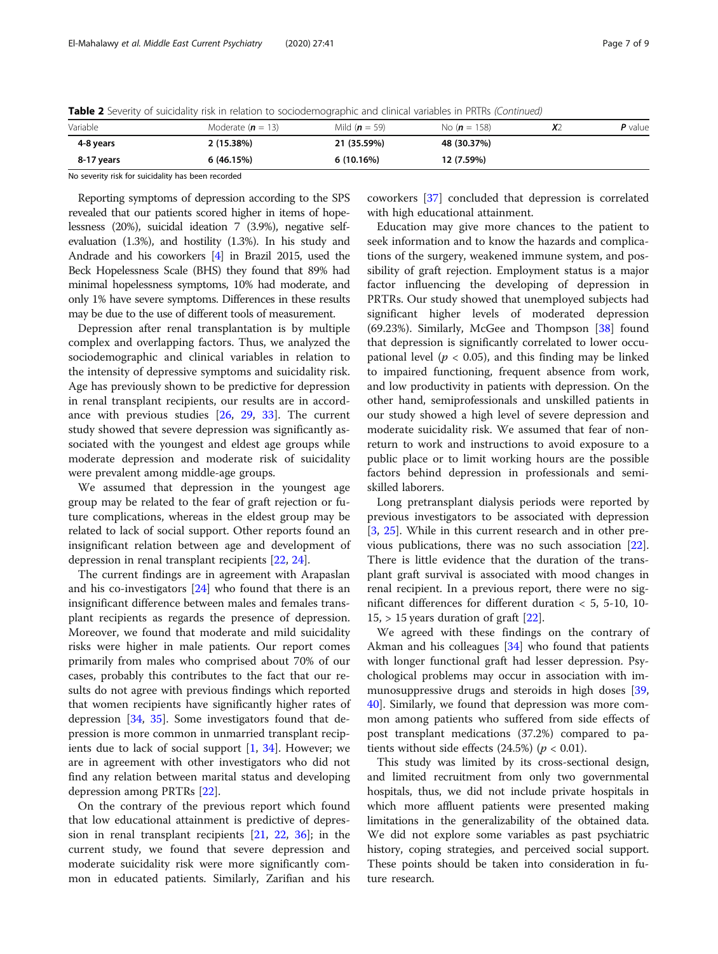Table 2 Severity of suicidality risk in relation to sociodemographic and clinical variables in PRTRs (Continued)

| Variable   | Moderate ( $n = 13$ ) | Mild ( $n = 59$ ) | No ( $n = 158$ ) | ୵ | <b>P</b> value |
|------------|-----------------------|-------------------|------------------|---|----------------|
| 4-8 years  | 2 (15.38%)            | 21 (35.59%)       | 48 (30.37%)      |   |                |
| 8-17 years | 6(46.15%)             | 6(10.16%)         | 12 (7.59%)       |   |                |

No severity risk for suicidality has been recorded

Reporting symptoms of depression according to the SPS revealed that our patients scored higher in items of hopelessness (20%), suicidal ideation 7 (3.9%), negative selfevaluation (1.3%), and hostility (1.3%). In his study and Andrade and his coworkers [\[4\]](#page-7-0) in Brazil 2015, used the Beck Hopelessness Scale (BHS) they found that 89% had minimal hopelessness symptoms, 10% had moderate, and only 1% have severe symptoms. Differences in these results may be due to the use of different tools of measurement.

Depression after renal transplantation is by multiple complex and overlapping factors. Thus, we analyzed the sociodemographic and clinical variables in relation to the intensity of depressive symptoms and suicidality risk. Age has previously shown to be predictive for depression in renal transplant recipients, our results are in accordance with previous studies [\[26,](#page-8-0) [29,](#page-8-0) [33](#page-8-0)]. The current study showed that severe depression was significantly associated with the youngest and eldest age groups while moderate depression and moderate risk of suicidality were prevalent among middle-age groups.

We assumed that depression in the youngest age group may be related to the fear of graft rejection or future complications, whereas in the eldest group may be related to lack of social support. Other reports found an insignificant relation between age and development of depression in renal transplant recipients [\[22](#page-7-0), [24](#page-8-0)].

The current findings are in agreement with Arapaslan and his co-investigators [[24](#page-8-0)] who found that there is an insignificant difference between males and females transplant recipients as regards the presence of depression. Moreover, we found that moderate and mild suicidality risks were higher in male patients. Our report comes primarily from males who comprised about 70% of our cases, probably this contributes to the fact that our results do not agree with previous findings which reported that women recipients have significantly higher rates of depression [\[34,](#page-8-0) [35\]](#page-8-0). Some investigators found that depression is more common in unmarried transplant recipients due to lack of social support [\[1](#page-7-0), [34\]](#page-8-0). However; we are in agreement with other investigators who did not find any relation between marital status and developing depression among PRTRs [[22\]](#page-7-0).

On the contrary of the previous report which found that low educational attainment is predictive of depression in renal transplant recipients [[21,](#page-7-0) [22](#page-7-0), [36](#page-8-0)]; in the current study, we found that severe depression and moderate suicidality risk were more significantly common in educated patients. Similarly, Zarifian and his

coworkers [\[37](#page-8-0)] concluded that depression is correlated with high educational attainment.

Education may give more chances to the patient to seek information and to know the hazards and complications of the surgery, weakened immune system, and possibility of graft rejection. Employment status is a major factor influencing the developing of depression in PRTRs. Our study showed that unemployed subjects had significant higher levels of moderated depression (69.23%). Similarly, McGee and Thompson [[38\]](#page-8-0) found that depression is significantly correlated to lower occupational level ( $p < 0.05$ ), and this finding may be linked to impaired functioning, frequent absence from work, and low productivity in patients with depression. On the other hand, semiprofessionals and unskilled patients in our study showed a high level of severe depression and moderate suicidality risk. We assumed that fear of nonreturn to work and instructions to avoid exposure to a public place or to limit working hours are the possible factors behind depression in professionals and semiskilled laborers.

Long pretransplant dialysis periods were reported by previous investigators to be associated with depression [[3,](#page-7-0) [25](#page-8-0)]. While in this current research and in other previous publications, there was no such association [\[22](#page-7-0)]. There is little evidence that the duration of the transplant graft survival is associated with mood changes in renal recipient. In a previous report, there were no significant differences for different duration < 5, 5-10, 10-  $15$ , > 15 years duration of graft  $[22]$  $[22]$ .

We agreed with these findings on the contrary of Akman and his colleagues [\[34\]](#page-8-0) who found that patients with longer functional graft had lesser depression. Psychological problems may occur in association with immunosuppressive drugs and steroids in high doses [[39](#page-8-0), [40\]](#page-8-0). Similarly, we found that depression was more common among patients who suffered from side effects of post transplant medications (37.2%) compared to patients without side effects  $(24.5%) (p < 0.01)$ .

This study was limited by its cross-sectional design, and limited recruitment from only two governmental hospitals, thus, we did not include private hospitals in which more affluent patients were presented making limitations in the generalizability of the obtained data. We did not explore some variables as past psychiatric history, coping strategies, and perceived social support. These points should be taken into consideration in future research.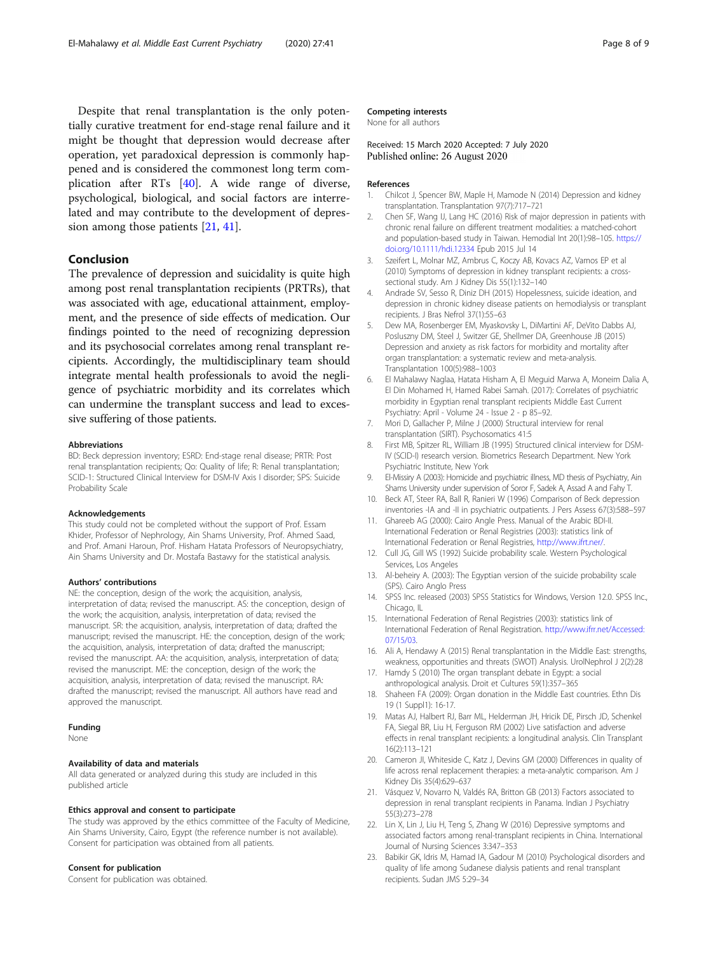<span id="page-7-0"></span>might be thought that depression would decrease after operation, yet paradoxical depression is commonly happened and is considered the commonest long term complication after RTs [[40\]](#page-8-0). A wide range of diverse, psychological, biological, and social factors are interrelated and may contribute to the development of depression among those patients [21, [41\]](#page-8-0).

### Conclusion

The prevalence of depression and suicidality is quite high among post renal transplantation recipients (PRTRs), that was associated with age, educational attainment, employment, and the presence of side effects of medication. Our findings pointed to the need of recognizing depression and its psychosocial correlates among renal transplant recipients. Accordingly, the multidisciplinary team should integrate mental health professionals to avoid the negligence of psychiatric morbidity and its correlates which can undermine the transplant success and lead to excessive suffering of those patients.

#### Abbreviations

BD: Beck depression inventory; ESRD: End-stage renal disease; PRTR: Post renal transplantation recipients; Qo: Quality of life; R: Renal transplantation; SCID-1: Structured Clinical Interview for DSM-IV Axis I disorder; SPS: Suicide Probability Scale

#### Acknowledgements

This study could not be completed without the support of Prof. Essam Khider, Professor of Nephrology, Ain Shams University, Prof. Ahmed Saad, and Prof. Amani Haroun, Prof. Hisham Hatata Professors of Neuropsychiatry, Ain Shams University and Dr. Mostafa Bastawy for the statistical analysis.

#### Authors' contributions

NE: the conception, design of the work; the acquisition, analysis, interpretation of data; revised the manuscript. AS: the conception, design of the work; the acquisition, analysis, interpretation of data; revised the manuscript. SR: the acquisition, analysis, interpretation of data; drafted the manuscript; revised the manuscript. HE: the conception, design of the work; the acquisition, analysis, interpretation of data; drafted the manuscript; revised the manuscript. AA: the acquisition, analysis, interpretation of data; revised the manuscript. ME: the conception, design of the work; the acquisition, analysis, interpretation of data; revised the manuscript. RA: drafted the manuscript; revised the manuscript. All authors have read and approved the manuscript.

#### Funding

None

#### Availability of data and materials

All data generated or analyzed during this study are included in this published article

#### Ethics approval and consent to participate

The study was approved by the ethics committee of the Faculty of Medicine, Ain Shams University, Cairo, Egypt (the reference number is not available). Consent for participation was obtained from all patients.

#### Consent for publication

Consent for publication was obtained.

Received: 15 March 2020 Accepted: 7 July 2020 Published online: 26 August 2020

#### References

- 1. Chilcot J, Spencer BW, Maple H, Mamode N (2014) Depression and kidney transplantation. Transplantation 97(7):717–721
- 2. Chen SF, Wang IJ, Lang HC (2016) Risk of major depression in patients with chronic renal failure on different treatment modalities: a matched-cohort and population-based study in Taiwan. Hemodial Int 20(1):98–105. [https://](https://doi.org/10.1111/hdi.12334) [doi.org/10.1111/hdi.12334](https://doi.org/10.1111/hdi.12334) Epub 2015 Jul 14
- 3. Szeifert L, Molnar MZ, Ambrus C, Koczy AB, Kovacs AZ, Vamos EP et al (2010) Symptoms of depression in kidney transplant recipients: a crosssectional study. Am J Kidney Dis 55(1):132–140
- 4. Andrade SV, Sesso R, Diniz DH (2015) Hopelessness, suicide ideation, and depression in chronic kidney disease patients on hemodialysis or transplant recipients. J Bras Nefrol 37(1):55–63
- 5. Dew MA, Rosenberger EM, Myaskovsky L, DiMartini AF, DeVito Dabbs AJ, Posluszny DM, Steel J, Switzer GE, Shellmer DA, Greenhouse JB (2015) Depression and anxiety as risk factors for morbidity and mortality after organ transplantation: a systematic review and meta-analysis. Transplantation 100(5):988–1003
- 6. El Mahalawy Naglaa, Hatata Hisham A, El Meguid Marwa A, Moneim Dalia A, El Din Mohamed H, Hamed Rabei Samah. (2017): Correlates of psychiatric morbidity in Egyptian renal transplant recipients Middle East Current Psychiatry: April - Volume 24 - Issue 2 - p 85–92.
- 7. Mori D, Gallacher P, Milne J (2000) Structural interview for renal transplantation (SIRT). Psychosomatics 41:5
- 8. First MB, Spitzer RL, William JB (1995) Structured clinical interview for DSM-IV (SCID-I) research version. Biometrics Research Department. New York Psychiatric Institute, New York
- 9. El-Missiry A (2003): Homicide and psychiatric illness, MD thesis of Psychiatry, Ain Shams University under supervision of Soror F, Sadek A, Assad A and Fahy T.
- 10. Beck AT, Steer RA, Ball R, Ranieri W (1996) Comparison of Beck depression inventories -IA and -II in psychiatric outpatients. J Pers Assess 67(3):588–597
- 11. Ghareeb AG (2000): Cairo Angle Press. Manual of the Arabic BDI-II. International Federation or Renal Registries (2003): statistics link of International Federation or Renal Registries, [http://www.ifrt.ner/.](http://www.ifrt.ner/)
- 12. Cull JG, Gill WS (1992) Suicide probability scale. Western Psychological Services, Los Angeles
- 13. Al-beheiry A. (2003): The Egyptian version of the suicide probability scale (SPS). Cairo Anglo Press
- 14. SPSS Inc. released (2003) SPSS Statistics for Windows, Version 12.0. SPSS Inc., Chicago, IL
- 15. International Federation of Renal Registries (2003): statistics link of International Federation of Renal Registration. [http://www.ifrr.net/Accessed:](http://www.ifrr.net/Accessed:07/15/03) [07/15/03](http://www.ifrr.net/Accessed:07/15/03).
- 16. Ali A, Hendawy A (2015) Renal transplantation in the Middle East: strengths, weakness, opportunities and threats (SWOT) Analysis. UrolNephrol J 2(2):28
- 17. Hamdy S (2010) The organ transplant debate in Egypt: a social anthropological analysis. Droit et Cultures 59(1):357–365
- 18. Shaheen FA (2009): Organ donation in the Middle East countries. Ethn Dis 19 (1 Suppl1): 16-17.
- 19. Matas AJ, Halbert RJ, Barr ML, Helderman JH, Hricik DE, Pirsch JD, Schenkel FA, Siegal BR, Liu H, Ferguson RM (2002) Live satisfaction and adverse effects in renal transplant recipients: a longitudinal analysis. Clin Transplant 16(2):113–121
- 20. Cameron JI, Whiteside C, Katz J, Devins GM (2000) Differences in quality of life across renal replacement therapies: a meta-analytic comparison. Am J Kidney Dis 35(4):629–637
- 21. Vásquez V, Novarro N, Valdés RA, Britton GB (2013) Factors associated to depression in renal transplant recipients in Panama. Indian J Psychiatry 55(3):273–278
- 22. Lin X, Lin J, Liu H, Teng S, Zhang W (2016) Depressive symptoms and associated factors among renal-transplant recipients in China. International Journal of Nursing Sciences 3:347–353
- 23. Babikir GK, Idris M, Hamad IA, Gadour M (2010) Psychological disorders and quality of life among Sudanese dialysis patients and renal transplant recipients. Sudan JMS 5:29–34